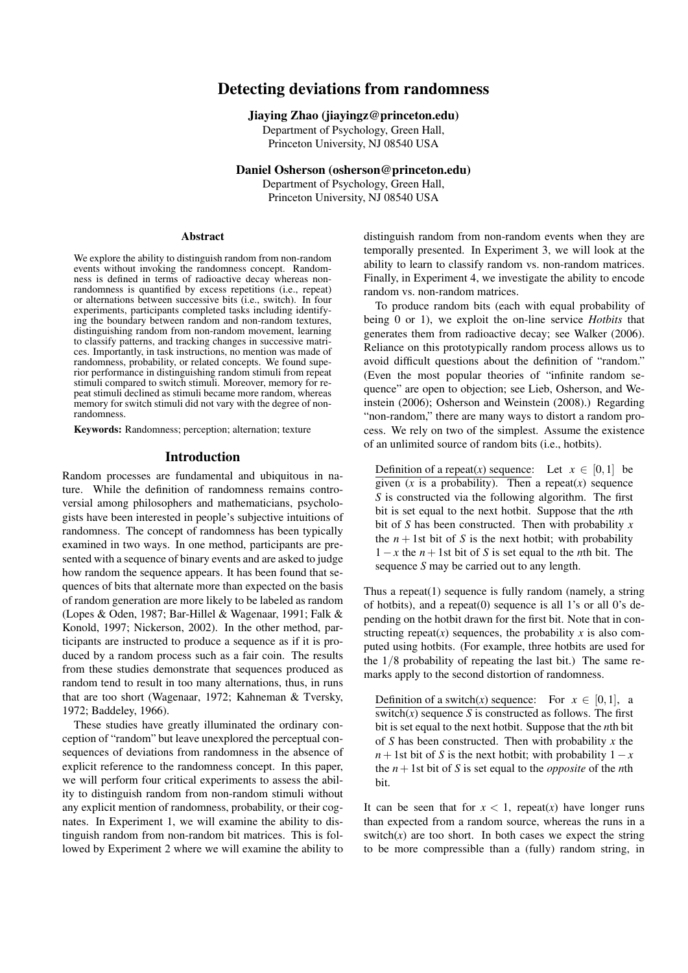# Detecting deviations from randomness

# Jiaying Zhao (jiayingz@princeton.edu)

Department of Psychology, Green Hall, Princeton University, NJ 08540 USA

Daniel Osherson (osherson@princeton.edu) Department of Psychology, Green Hall, Princeton University, NJ 08540 USA

#### Abstract

We explore the ability to distinguish random from non-random events without invoking the randomness concept. Randomness is defined in terms of radioactive decay whereas nonrandomness is quantified by excess repetitions (i.e., repeat) or alternations between successive bits (i.e., switch). In four experiments, participants completed tasks including identifying the boundary between random and non-random textures, distinguishing random from non-random movement, learning to classify patterns, and tracking changes in successive matrices. Importantly, in task instructions, no mention was made of randomness, probability, or related concepts. We found superior performance in distinguishing random stimuli from repeat stimuli compared to switch stimuli. Moreover, memory for repeat stimuli declined as stimuli became more random, whereas memory for switch stimuli did not vary with the degree of nonrandomness.

Keywords: Randomness; perception; alternation; texture

## Introduction

Random processes are fundamental and ubiquitous in nature. While the definition of randomness remains controversial among philosophers and mathematicians, psychologists have been interested in people's subjective intuitions of randomness. The concept of randomness has been typically examined in two ways. In one method, participants are presented with a sequence of binary events and are asked to judge how random the sequence appears. It has been found that sequences of bits that alternate more than expected on the basis of random generation are more likely to be labeled as random (Lopes & Oden, 1987; Bar-Hillel & Wagenaar, 1991; Falk & Konold, 1997; Nickerson, 2002). In the other method, participants are instructed to produce a sequence as if it is produced by a random process such as a fair coin. The results from these studies demonstrate that sequences produced as random tend to result in too many alternations, thus, in runs that are too short (Wagenaar, 1972; Kahneman & Tversky, 1972; Baddeley, 1966).

These studies have greatly illuminated the ordinary conception of "random" but leave unexplored the perceptual consequences of deviations from randomness in the absence of explicit reference to the randomness concept. In this paper, we will perform four critical experiments to assess the ability to distinguish random from non-random stimuli without any explicit mention of randomness, probability, or their cognates. In Experiment 1, we will examine the ability to distinguish random from non-random bit matrices. This is followed by Experiment 2 where we will examine the ability to

distinguish random from non-random events when they are temporally presented. In Experiment 3, we will look at the ability to learn to classify random vs. non-random matrices. Finally, in Experiment 4, we investigate the ability to encode random vs. non-random matrices.

To produce random bits (each with equal probability of being 0 or 1), we exploit the on-line service *Hotbits* that generates them from radioactive decay; see Walker (2006). Reliance on this prototypically random process allows us to avoid difficult questions about the definition of "random." (Even the most popular theories of "infinite random sequence" are open to objection; see Lieb, Osherson, and Weinstein (2006); Osherson and Weinstein (2008).) Regarding "non-random," there are many ways to distort a random process. We rely on two of the simplest. Assume the existence of an unlimited source of random bits (i.e., hotbits).

Definition of a repeat(*x*) sequence: Let  $x \in [0,1]$  be given  $(x$  is a probability). Then a repeat $(x)$  sequence *S* is constructed via the following algorithm. The first bit is set equal to the next hotbit. Suppose that the *n*th bit of *S* has been constructed. Then with probability *x* the  $n + 1$ st bit of *S* is the next hotbit; with probability 1−*x* the *n*+1st bit of *S* is set equal to the *n*th bit. The sequence *S* may be carried out to any length.

Thus a repeat(1) sequence is fully random (namely, a string of hotbits), and a repeat(0) sequence is all 1's or all 0's depending on the hotbit drawn for the first bit. Note that in constructing repeat( $x$ ) sequences, the probability  $x$  is also computed using hotbits. (For example, three hotbits are used for the 1/8 probability of repeating the last bit.) The same remarks apply to the second distortion of randomness.

Definition of a switch(*x*) sequence: For  $x \in [0,1]$ , a  $s$ witch $(x)$  sequence *S* is constructed as follows. The first bit is set equal to the next hotbit. Suppose that the *n*th bit of *S* has been constructed. Then with probability *x* the  $n+1$ st bit of *S* is the next hotbit; with probability  $1-x$ the  $n+1$ st bit of *S* is set equal to the *opposite* of the *n*th bit.

It can be seen that for  $x < 1$ , repeat(*x*) have longer runs than expected from a random source, whereas the runs in a switch $(x)$  are too short. In both cases we expect the string to be more compressible than a (fully) random string, in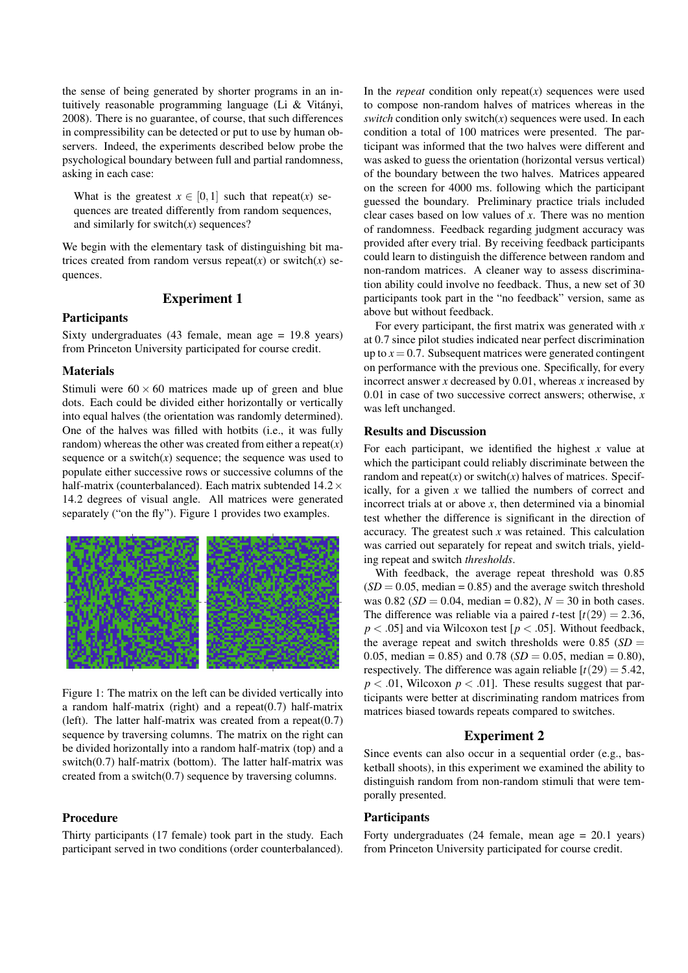the sense of being generated by shorter programs in an intuitively reasonable programming language (Li & Vitányi, 2008). There is no guarantee, of course, that such differences in compressibility can be detected or put to use by human observers. Indeed, the experiments described below probe the psychological boundary between full and partial randomness, asking in each case:

What is the greatest  $x \in [0,1]$  such that repeat(*x*) sequences are treated differently from random sequences, and similarly for switch $(x)$  sequences?

We begin with the elementary task of distinguishing bit matrices created from random versus repeat( $x$ ) or switch( $x$ ) sequences.

# Experiment 1

## **Participants**

Sixty undergraduates (43 female, mean age = 19.8 years) from Princeton University participated for course credit.

# Materials

Stimuli were  $60 \times 60$  matrices made up of green and blue dots. Each could be divided either horizontally or vertically into equal halves (the orientation was randomly determined). One of the halves was filled with hotbits (i.e., it was fully random) whereas the other was created from either a repeat $(x)$ sequence or a switch $(x)$  sequence; the sequence was used to populate either successive rows or successive columns of the half-matrix (counterbalanced). Each matrix subtended  $14.2\times$ 14.2 degrees of visual angle. All matrices were generated separately ("on the fly"). Figure 1 provides two examples.



Figure 1: The matrix on the left can be divided vertically into a random half-matrix (right) and a repeat(0.7) half-matrix (left). The latter half-matrix was created from a repeat $(0.7)$ sequence by traversing columns. The matrix on the right can be divided horizontally into a random half-matrix (top) and a switch $(0.7)$  half-matrix (bottom). The latter half-matrix was created from a switch(0.7) sequence by traversing columns.

# Procedure

Thirty participants (17 female) took part in the study. Each participant served in two conditions (order counterbalanced).

In the *repeat* condition only repeat $(x)$  sequences were used to compose non-random halves of matrices whereas in the *switch* condition only switch(*x*) sequences were used. In each condition a total of 100 matrices were presented. The participant was informed that the two halves were different and was asked to guess the orientation (horizontal versus vertical) of the boundary between the two halves. Matrices appeared on the screen for 4000 ms. following which the participant guessed the boundary. Preliminary practice trials included clear cases based on low values of *x*. There was no mention of randomness. Feedback regarding judgment accuracy was provided after every trial. By receiving feedback participants could learn to distinguish the difference between random and non-random matrices. A cleaner way to assess discrimination ability could involve no feedback. Thus, a new set of 30 participants took part in the "no feedback" version, same as above but without feedback.

For every participant, the first matrix was generated with *x* at 0.7 since pilot studies indicated near perfect discrimination up to  $x = 0.7$ . Subsequent matrices were generated contingent on performance with the previous one. Specifically, for every incorrect answer *x* decreased by 0.01, whereas *x* increased by 0.01 in case of two successive correct answers; otherwise, *x* was left unchanged.

#### Results and Discussion

For each participant, we identified the highest *x* value at which the participant could reliably discriminate between the random and repeat $(x)$  or switch $(x)$  halves of matrices. Specifically, for a given *x* we tallied the numbers of correct and incorrect trials at or above *x*, then determined via a binomial test whether the difference is significant in the direction of accuracy. The greatest such *x* was retained. This calculation was carried out separately for repeat and switch trials, yielding repeat and switch *thresholds*.

With feedback, the average repeat threshold was 0.85  $(SD = 0.05, \text{ median} = 0.85)$  and the average switch threshold was  $0.82$  (*SD* = 0.04, median = 0.82),  $N = 30$  in both cases. The difference was reliable via a paired *t*-test  $[t(29) = 2.36$ , *p* < .05] and via Wilcoxon test [*p* < .05]. Without feedback, the average repeat and switch thresholds were  $0.85$  (*SD* = 0.05, median = 0.85) and 0.78 ( $SD = 0.05$ , median = 0.80), respectively. The difference was again reliable  $[t(29) = 5.42]$ ,  $p < .01$ , Wilcoxon  $p < .01$ . These results suggest that participants were better at discriminating random matrices from matrices biased towards repeats compared to switches.

## Experiment 2

Since events can also occur in a sequential order (e.g., basketball shoots), in this experiment we examined the ability to distinguish random from non-random stimuli that were temporally presented.

# **Participants**

Forty undergraduates (24 female, mean age = 20.1 years) from Princeton University participated for course credit.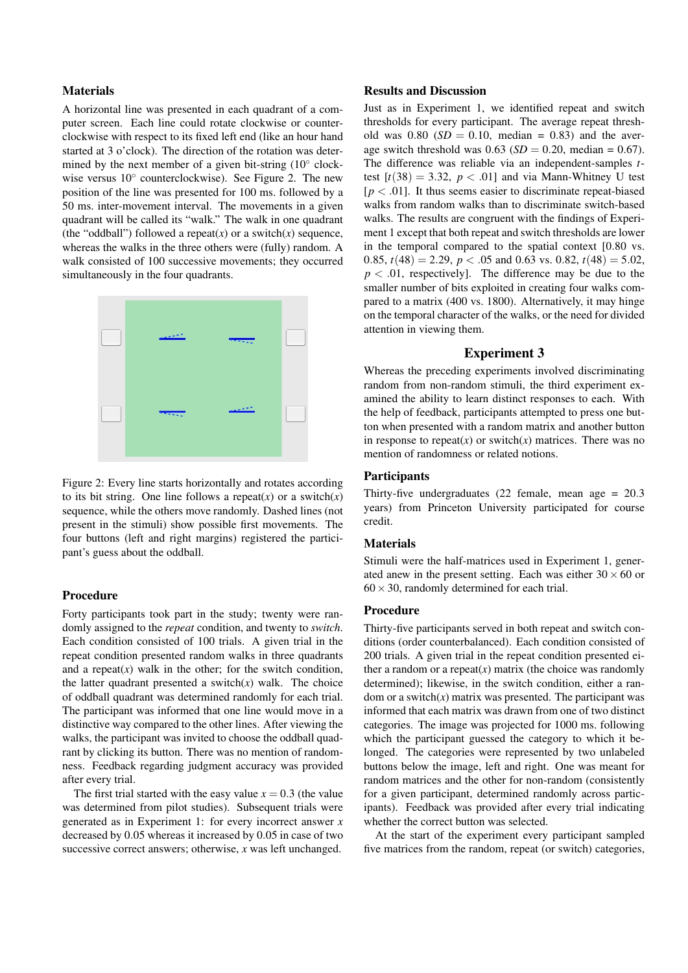#### Materials

A horizontal line was presented in each quadrant of a computer screen. Each line could rotate clockwise or counterclockwise with respect to its fixed left end (like an hour hand started at 3 o'clock). The direction of the rotation was determined by the next member of a given bit-string (10° clockwise versus  $10^{\circ}$  counterclockwise). See Figure 2. The new position of the line was presented for 100 ms. followed by a 50 ms. inter-movement interval. The movements in a given quadrant will be called its "walk." The walk in one quadrant (the "oddball") followed a repeat( $x$ ) or a switch( $x$ ) sequence, whereas the walks in the three others were (fully) random. A walk consisted of 100 successive movements; they occurred simultaneously in the four quadrants.



Figure 2: Every line starts horizontally and rotates according to its bit string. One line follows a repeat $(x)$  or a switch $(x)$ sequence, while the others move randomly. Dashed lines (not present in the stimuli) show possible first movements. The four buttons (left and right margins) registered the participant's guess about the oddball.

## Procedure

Forty participants took part in the study; twenty were randomly assigned to the *repeat* condition, and twenty to *switch*. Each condition consisted of 100 trials. A given trial in the repeat condition presented random walks in three quadrants and a repeat $(x)$  walk in the other; for the switch condition, the latter quadrant presented a switch $(x)$  walk. The choice of oddball quadrant was determined randomly for each trial. The participant was informed that one line would move in a distinctive way compared to the other lines. After viewing the walks, the participant was invited to choose the oddball quadrant by clicking its button. There was no mention of randomness. Feedback regarding judgment accuracy was provided after every trial.

The first trial started with the easy value  $x = 0.3$  (the value was determined from pilot studies). Subsequent trials were generated as in Experiment 1: for every incorrect answer *x* decreased by 0.05 whereas it increased by 0.05 in case of two successive correct answers; otherwise, *x* was left unchanged.

#### Results and Discussion

Just as in Experiment 1, we identified repeat and switch thresholds for every participant. The average repeat threshold was  $0.80$  (*SD* = 0.10, median = 0.83) and the average switch threshold was  $0.63$  (*SD* = 0.20, median = 0.67). The difference was reliable via an independent-samples *t*test  $[t(38) = 3.32, p < .01]$  and via Mann-Whitney U test  $[p < .01]$ . It thus seems easier to discriminate repeat-biased walks from random walks than to discriminate switch-based walks. The results are congruent with the findings of Experiment 1 except that both repeat and switch thresholds are lower in the temporal compared to the spatial context [0.80 vs. 0.85,  $t(48) = 2.29$ ,  $p < .05$  and 0.63 vs. 0.82,  $t(48) = 5.02$ ,  $p < .01$ , respectively]. The difference may be due to the smaller number of bits exploited in creating four walks compared to a matrix (400 vs. 1800). Alternatively, it may hinge on the temporal character of the walks, or the need for divided attention in viewing them.

## Experiment 3

Whereas the preceding experiments involved discriminating random from non-random stimuli, the third experiment examined the ability to learn distinct responses to each. With the help of feedback, participants attempted to press one button when presented with a random matrix and another button in response to repeat $(x)$  or switch $(x)$  matrices. There was no mention of randomness or related notions.

# **Participants**

Thirty-five undergraduates (22 female, mean age = 20.3 years) from Princeton University participated for course credit.

#### **Materials**

Stimuli were the half-matrices used in Experiment 1, generated anew in the present setting. Each was either  $30 \times 60$  or  $60 \times 30$ , randomly determined for each trial.

## Procedure

Thirty-five participants served in both repeat and switch conditions (order counterbalanced). Each condition consisted of 200 trials. A given trial in the repeat condition presented either a random or a repeat $(x)$  matrix (the choice was randomly determined); likewise, in the switch condition, either a random or a switch $(x)$  matrix was presented. The participant was informed that each matrix was drawn from one of two distinct categories. The image was projected for 1000 ms. following which the participant guessed the category to which it belonged. The categories were represented by two unlabeled buttons below the image, left and right. One was meant for random matrices and the other for non-random (consistently for a given participant, determined randomly across participants). Feedback was provided after every trial indicating whether the correct button was selected.

At the start of the experiment every participant sampled five matrices from the random, repeat (or switch) categories,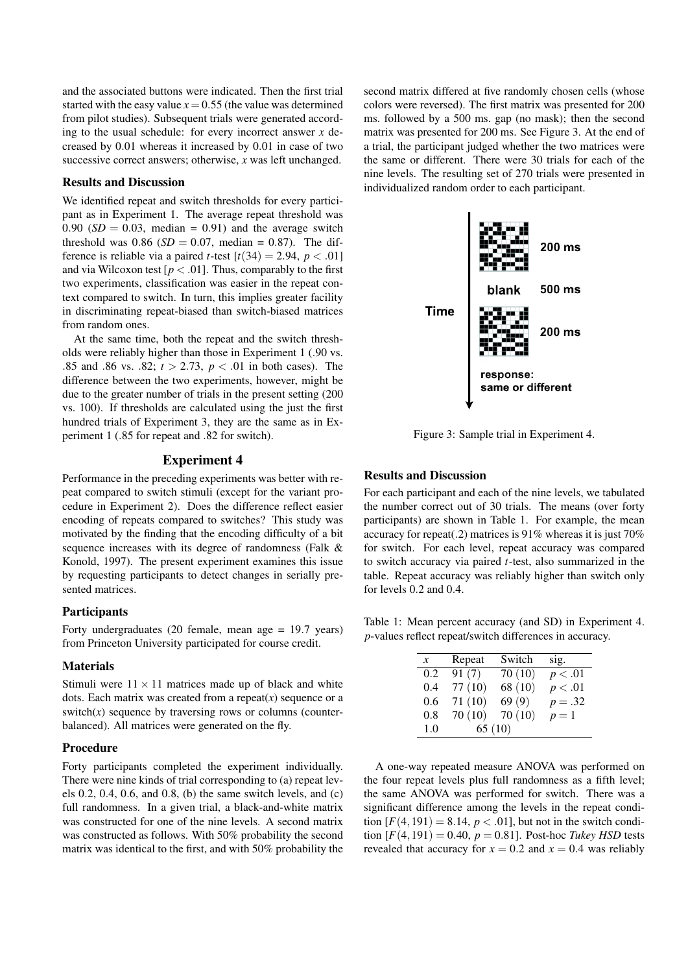and the associated buttons were indicated. Then the first trial started with the easy value  $x = 0.55$  (the value was determined from pilot studies). Subsequent trials were generated according to the usual schedule: for every incorrect answer *x* decreased by 0.01 whereas it increased by 0.01 in case of two successive correct answers; otherwise, *x* was left unchanged.

#### Results and Discussion

We identified repeat and switch thresholds for every participant as in Experiment 1. The average repeat threshold was  $0.90$  (*SD* = 0.03, median = 0.91) and the average switch threshold was 0.86 ( $SD = 0.07$ , median = 0.87). The difference is reliable via a paired *t*-test  $[t(34) = 2.94, p < .01]$ and via Wilcoxon test  $[p < .01]$ . Thus, comparably to the first two experiments, classification was easier in the repeat context compared to switch. In turn, this implies greater facility in discriminating repeat-biased than switch-biased matrices from random ones.

At the same time, both the repeat and the switch thresholds were reliably higher than those in Experiment 1 (.90 vs. .85 and .86 vs. .82; *t* > 2.73, *p* < .01 in both cases). The difference between the two experiments, however, might be due to the greater number of trials in the present setting (200 vs. 100). If thresholds are calculated using the just the first hundred trials of Experiment 3, they are the same as in Experiment 1 (.85 for repeat and .82 for switch).

# Experiment 4

Performance in the preceding experiments was better with repeat compared to switch stimuli (except for the variant procedure in Experiment 2). Does the difference reflect easier encoding of repeats compared to switches? This study was motivated by the finding that the encoding difficulty of a bit sequence increases with its degree of randomness (Falk & Konold, 1997). The present experiment examines this issue by requesting participants to detect changes in serially presented matrices.

#### **Participants**

Forty undergraduates (20 female, mean age = 19.7 years) from Princeton University participated for course credit.

#### Materials

Stimuli were  $11 \times 11$  matrices made up of black and white dots. Each matrix was created from a repeat $(x)$  sequence or a switch $(x)$  sequence by traversing rows or columns (counterbalanced). All matrices were generated on the fly.

#### Procedure

Forty participants completed the experiment individually. There were nine kinds of trial corresponding to (a) repeat levels 0.2, 0.4, 0.6, and 0.8, (b) the same switch levels, and (c) full randomness. In a given trial, a black-and-white matrix was constructed for one of the nine levels. A second matrix was constructed as follows. With 50% probability the second matrix was identical to the first, and with 50% probability the

second matrix differed at five randomly chosen cells (whose colors were reversed). The first matrix was presented for 200 ms. followed by a 500 ms. gap (no mask); then the second matrix was presented for 200 ms. See Figure 3. At the end of a trial, the participant judged whether the two matrices were the same or different. There were 30 trials for each of the nine levels. The resulting set of 270 trials were presented in individualized random order to each participant.



Figure 3: Sample trial in Experiment 4.

## Results and Discussion

For each participant and each of the nine levels, we tabulated the number correct out of 30 trials. The means (over forty participants) are shown in Table 1. For example, the mean accuracy for repeat(.2) matrices is 91% whereas it is just 70% for switch. For each level, repeat accuracy was compared to switch accuracy via paired *t*-test, also summarized in the table. Repeat accuracy was reliably higher than switch only for levels 0.2 and 0.4.

Table 1: Mean percent accuracy (and SD) in Experiment 4. *p*-values reflect repeat/switch differences in accuracy.

| $\mathcal{X}$ | Repeat | Switch  | sig.      |
|---------------|--------|---------|-----------|
| 0.2           | 91(7)  | 70(10)  | p < .01   |
| 0.4           | 77(10) | 68 (10) | p < .01   |
| 0.6           | 71(10) | 69(9)   | $p = .32$ |
| 0.8           | 70(10) | 70(10)  | $p=1$     |
| 1.0           | 65(10) |         |           |

A one-way repeated measure ANOVA was performed on the four repeat levels plus full randomness as a fifth level; the same ANOVA was performed for switch. There was a significant difference among the levels in the repeat condition  $[F(4, 191) = 8.14, p < .01]$ , but not in the switch condition  $[F(4, 191) = 0.40, p = 0.81]$ . Post-hoc *Tukey HSD* tests revealed that accuracy for  $x = 0.2$  and  $x = 0.4$  was reliably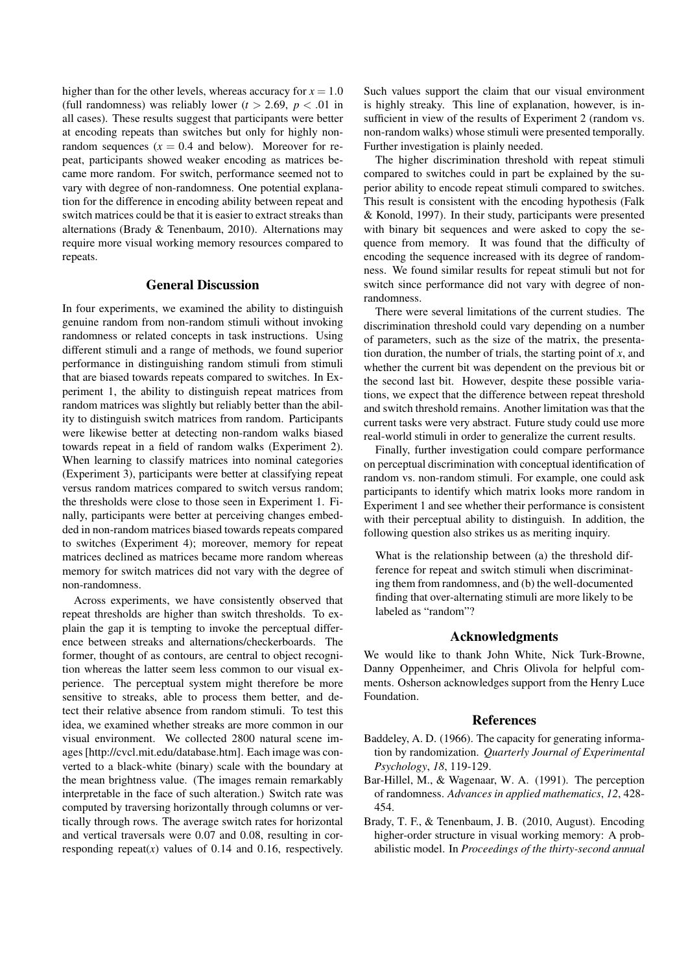higher than for the other levels, whereas accuracy for  $x = 1.0$ (full randomness) was reliably lower  $(t > 2.69, p < .01$  in all cases). These results suggest that participants were better at encoding repeats than switches but only for highly nonrandom sequences  $(x = 0.4$  and below). Moreover for repeat, participants showed weaker encoding as matrices became more random. For switch, performance seemed not to vary with degree of non-randomness. One potential explanation for the difference in encoding ability between repeat and switch matrices could be that it is easier to extract streaks than alternations (Brady & Tenenbaum, 2010). Alternations may require more visual working memory resources compared to repeats.

# General Discussion

In four experiments, we examined the ability to distinguish genuine random from non-random stimuli without invoking randomness or related concepts in task instructions. Using different stimuli and a range of methods, we found superior performance in distinguishing random stimuli from stimuli that are biased towards repeats compared to switches. In Experiment 1, the ability to distinguish repeat matrices from random matrices was slightly but reliably better than the ability to distinguish switch matrices from random. Participants were likewise better at detecting non-random walks biased towards repeat in a field of random walks (Experiment 2). When learning to classify matrices into nominal categories (Experiment 3), participants were better at classifying repeat versus random matrices compared to switch versus random; the thresholds were close to those seen in Experiment 1. Finally, participants were better at perceiving changes embedded in non-random matrices biased towards repeats compared to switches (Experiment 4); moreover, memory for repeat matrices declined as matrices became more random whereas memory for switch matrices did not vary with the degree of non-randomness.

Across experiments, we have consistently observed that repeat thresholds are higher than switch thresholds. To explain the gap it is tempting to invoke the perceptual difference between streaks and alternations/checkerboards. The former, thought of as contours, are central to object recognition whereas the latter seem less common to our visual experience. The perceptual system might therefore be more sensitive to streaks, able to process them better, and detect their relative absence from random stimuli. To test this idea, we examined whether streaks are more common in our visual environment. We collected 2800 natural scene images [http://cvcl.mit.edu/database.htm]. Each image was converted to a black-white (binary) scale with the boundary at the mean brightness value. (The images remain remarkably interpretable in the face of such alteration.) Switch rate was computed by traversing horizontally through columns or vertically through rows. The average switch rates for horizontal and vertical traversals were 0.07 and 0.08, resulting in corresponding repeat( $x$ ) values of 0.14 and 0.16, respectively.

Such values support the claim that our visual environment is highly streaky. This line of explanation, however, is insufficient in view of the results of Experiment 2 (random vs. non-random walks) whose stimuli were presented temporally. Further investigation is plainly needed.

The higher discrimination threshold with repeat stimuli compared to switches could in part be explained by the superior ability to encode repeat stimuli compared to switches. This result is consistent with the encoding hypothesis (Falk & Konold, 1997). In their study, participants were presented with binary bit sequences and were asked to copy the sequence from memory. It was found that the difficulty of encoding the sequence increased with its degree of randomness. We found similar results for repeat stimuli but not for switch since performance did not vary with degree of nonrandomness.

There were several limitations of the current studies. The discrimination threshold could vary depending on a number of parameters, such as the size of the matrix, the presentation duration, the number of trials, the starting point of *x*, and whether the current bit was dependent on the previous bit or the second last bit. However, despite these possible variations, we expect that the difference between repeat threshold and switch threshold remains. Another limitation was that the current tasks were very abstract. Future study could use more real-world stimuli in order to generalize the current results.

Finally, further investigation could compare performance on perceptual discrimination with conceptual identification of random vs. non-random stimuli. For example, one could ask participants to identify which matrix looks more random in Experiment 1 and see whether their performance is consistent with their perceptual ability to distinguish. In addition, the following question also strikes us as meriting inquiry.

What is the relationship between (a) the threshold difference for repeat and switch stimuli when discriminating them from randomness, and (b) the well-documented finding that over-alternating stimuli are more likely to be labeled as "random"?

## Acknowledgments

We would like to thank John White, Nick Turk-Browne, Danny Oppenheimer, and Chris Olivola for helpful comments. Osherson acknowledges support from the Henry Luce Foundation.

#### References

- Baddeley, A. D. (1966). The capacity for generating information by randomization. *Quarterly Journal of Experimental Psychology*, *18*, 119-129.
- Bar-Hillel, M., & Wagenaar, W. A. (1991). The perception of randomness. *Advances in applied mathematics*, *12*, 428- 454.
- Brady, T. F., & Tenenbaum, J. B. (2010, August). Encoding higher-order structure in visual working memory: A probabilistic model. In *Proceedings of the thirty-second annual*